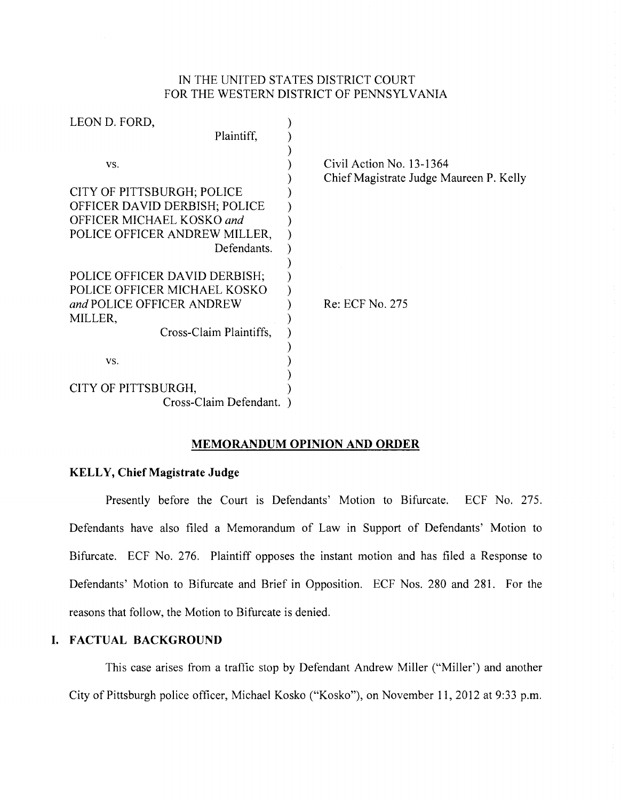## IN THE UNITED STATES DISTRICT COURT FOR THE WESTERN DISTRICT OF PENNSYLVANIA

| LEON D. FORD,                 |                                                                     |
|-------------------------------|---------------------------------------------------------------------|
| Plaintiff,                    |                                                                     |
| VS.                           | Civil Action No. 13-1364<br>Chief Magistrate Judge Maureen P. Kelly |
| CITY OF PITTSBURGH; POLICE    |                                                                     |
| OFFICER DAVID DERBISH; POLICE |                                                                     |
| OFFICER MICHAEL KOSKO and     |                                                                     |
| POLICE OFFICER ANDREW MILLER, |                                                                     |
| Defendants.                   |                                                                     |
|                               |                                                                     |
| POLICE OFFICER DAVID DERBISH; |                                                                     |
| POLICE OFFICER MICHAEL KOSKO  |                                                                     |
| and POLICE OFFICER ANDREW     | Re: ECF No. 275                                                     |
| MILLER,                       |                                                                     |
| Cross-Claim Plaintiffs,       |                                                                     |
|                               |                                                                     |
| VS.                           |                                                                     |
|                               |                                                                     |
| CITY OF PITTSBURGH,           |                                                                     |
| Cross-Claim Defendant.        |                                                                     |

#### **MEMORANDUM OPINION AND ORDER**

#### **KELLY, Chief Magistrate Judge**

Presently before the Court is Defendants' Motion to Bifurcate. ECF No. 275. Defendants have also filed a Memorandum of Law in Support of Defendants' Motion to Bifurcate. ECF No. 276. Plaintiff opposes the instant motion and has filed a Response to Defendants' Motion to Bifurcate and Brief in Opposition. ECF Nos. 280 and 281. For the reasons that follow, the Motion to Bifurcate is denied.

## **I. FACTUAL BACKGROUND**

This case arises from a traffic stop by Defendant Andrew Miller ("Miller') and another City of Pittsburgh police officer, Michael Kosko ("Kosko"), on November 11, 2012 at 9:33 p.m.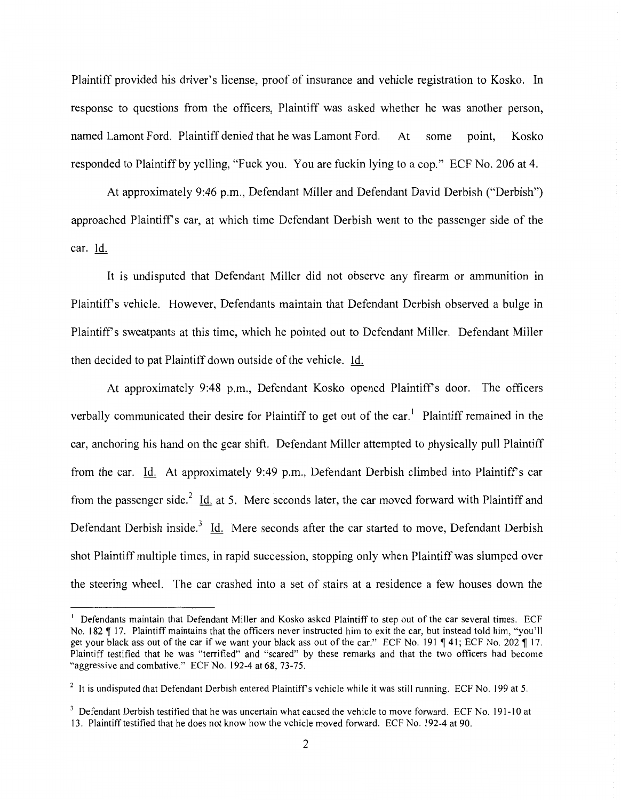Plaintiff provided his driver's license, proof of insurance and vehicle registration to Kosko. In response to questions from the officers, Plaintiff was asked whether he was another person, named Lamont Ford. Plaintiff denied that he was Lamont Ford. At some point, Kosko responded to Plaintiff by yelling, "Fuck you. You are fuckin lying to a cop." ECF No. 206 at 4.

At approximately 9:46 p.m., Defendant Miller and Defendant David Derbish ("Derbish") approached Plaintiffs car, at which time Defendant Derbish went to the passenger side of the car. Id.

It is undisputed that Defendant Miller did not observe any firearm or ammunition in Plaintiffs vehicle. However, Defendants maintain that Defendant Derbish observed a bulge in Plaintiffs sweatpants at this time, which he pointed out to Defendant Miller. Defendant Miller then decided to pat Plaintiff down outside of the vehicle. Id.

At approximately 9:48 p.m., Defendant Kosko opened Plaintiff's door. The officers verbally communicated their desire for Plaintiff to get out of the car.<sup>1</sup> Plaintiff remained in the car, anchoring his hand on the gear shift. Defendant Miller attempted to physically pull Plaintiff from the car. Id. At approximately 9:49 p.m., Defendant Derbish climbed into Plaintiff's car from the passenger side.<sup>2</sup> Id. at 5. Mere seconds later, the car moved forward with Plaintiff and Defendant Derbish inside.<sup>3</sup> Id. Mere seconds after the car started to move, Defendant Derbish shot Plaintiff multiple times, in rapid succession, stopping only when Plaintiff was slumped over the steering wheel. The car crashed into a set of stairs at a residence a few houses down the

<sup>&</sup>lt;sup>1</sup> Defendants maintain that Defendant Miller and Kosko asked Plaintiff to step out of the car several times. ECF No. 182  $\parallel$  17. Plaintiff maintains that the officers never instructed him to exit the car, but instead told him, "you'll get your black ass out of the car if we want your black ass out of the car." ECF No. 191  $\P$  41; ECF No. 202  $\P$  17. Plaintiff testified that he was "terrified" and "scared" by these remarks and that the two officers had become "aggressive and combative." ECF No. 192-4 at 68, 73-75.

 $2$  It is undisputed that Defendant Derbish entered Plaintiff's vehicle while it was still running. ECF No. 199 at 5.

<sup>&</sup>lt;sup>3</sup> Defendant Derbish testified that he was uncertain what caused the vehicle to move forward. ECF No. 191-10 at 13. Plaintiff testified that he does not know how the vehicle moved forward. ECF No. 192-4 at 90.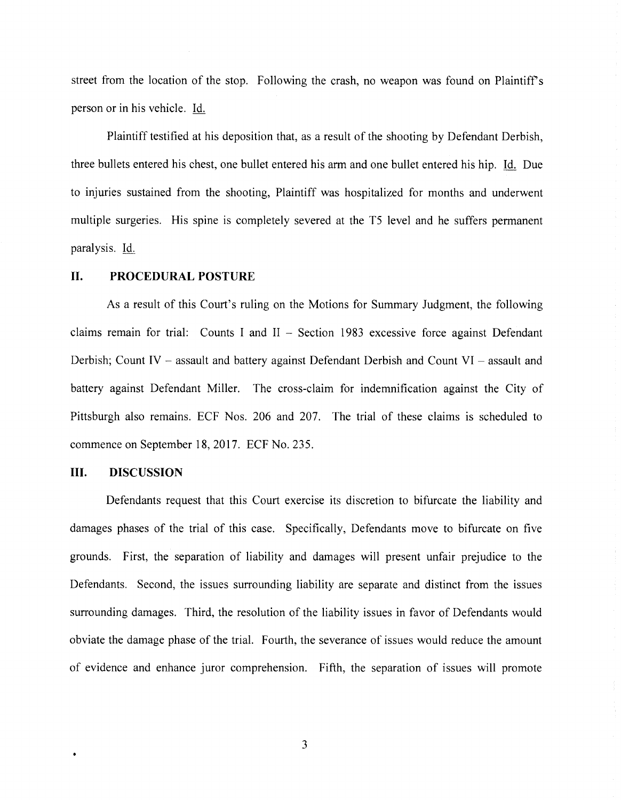street from the location of the stop. Following the crash, no weapon was found on Plaintiff's person or in his vehicle. Id.

Plaintiff testified at his deposition that, as a result of the shooting by Defendant Derbish, three bullets entered his chest, one bullet entered his arm and one bullet entered his hip. Id. Due to injuries sustained from the shooting, Plaintiff was hospitalized for months and underwent multiple surgeries. His spine is completely severed at the T5 level and he suffers permanent paralysis. Id.

#### **II. PROCEDURAL POSTURE**

As a result of this Court's ruling on the Motions for Summary Judgment, the following claims remain for trial: Counts I and  $II$  - Section 1983 excessive force against Defendant Derbish; Count IV - assault and battery against Defendant Derbish and Count VI - assault and battery against Defendant Miller. The cross-claim for indemnification against the City of Pittsburgh also remains. ECF Nos. 206 and 207. The trial of these claims is scheduled to commence on September 18, 2017. ECF No. 235.

#### **III. DISCUSSION**

Defendants request that this Court exercise its discretion to bifurcate the liability and damages phases of the trial of this case. Specifically, Defendants move to bifurcate on five grounds. First, the separation of liability and damages will present unfair prejudice to the Defendants. Second, the issues surrounding liability are separate and distinct from the issues surrounding damages. Third, the resolution of the liability issues in favor of Defendants would obviate the damage phase of the trial. Fourth, the severance of issues would reduce the amount of evidence and enhance juror comprehension. Fifth, the separation of issues will promote

3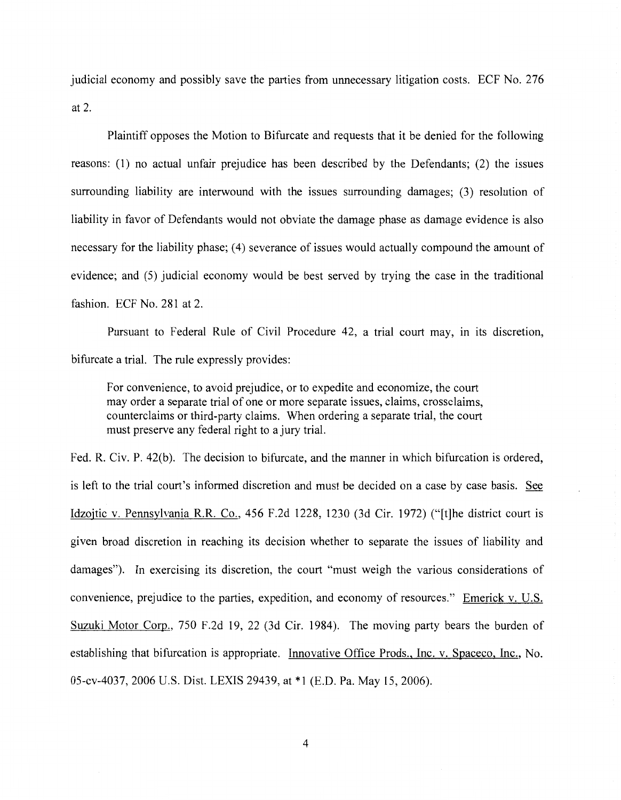judicial economy and possibly save the parties from unnecessary litigation costs. ECF No. 276 at 2.

Plaintiff opposes the Motion to Bifurcate and requests that it be denied for the following reasons: (1) no actual unfair prejudice has been described by the Defendants; (2) the issues surrounding liability are interwound with the issues surrounding damages; (3) resolution of liability in favor of Defendants would not obviate the damage phase as damage evidence is also necessary for the liability phase; (4) severance of issues would actually compound the amount of evidence; and (5) judicial economy would be best served by trying the case in the traditional fashion. ECF No. 281 at 2.

Pursuant to Federal Rule of Civil Procedure 42, a trial court may, in its discretion, bifurcate a trial. The rule expressly provides:

For convenience, to avoid prejudice, or to expedite and economize, the court may order a separate trial of one or more separate issues, claims, crossclaims, counterclaims or third-party claims. When ordering a separate trial, the court must preserve any federal right to a jury trial.

Fed. R. Civ. P. 42(b). The decision to bifurcate, and the manner in which bifurcation is ordered, is left to the trial court's informed discretion and must be decided on a case by case basis. See Idzojtic v. Pennsylvania R.R. Co., 456 F.2d 1228, 1230 (3d Cir. 1972) ("[t]he district court is given broad discretion in reaching its decision whether to separate the issues of liability and damages"). In exercising its discretion, the court "must weigh the various considerations of convenience, prejudice to the parties, expedition, and economy of resources." Emerick v. U.S. Suzuki Motor Corp., 750 F.2d 19, 22 (3d Cir. 1984). The moving party bears the burden of establishing that bifurcation is appropriate. Innovative Office Prods., Inc. v. Spaceco, Inc., No. 05-cv-4037, 2006 U.S. Dist. LEXIS 29439, at \*1 (E.D. Pa. May 15, 2006).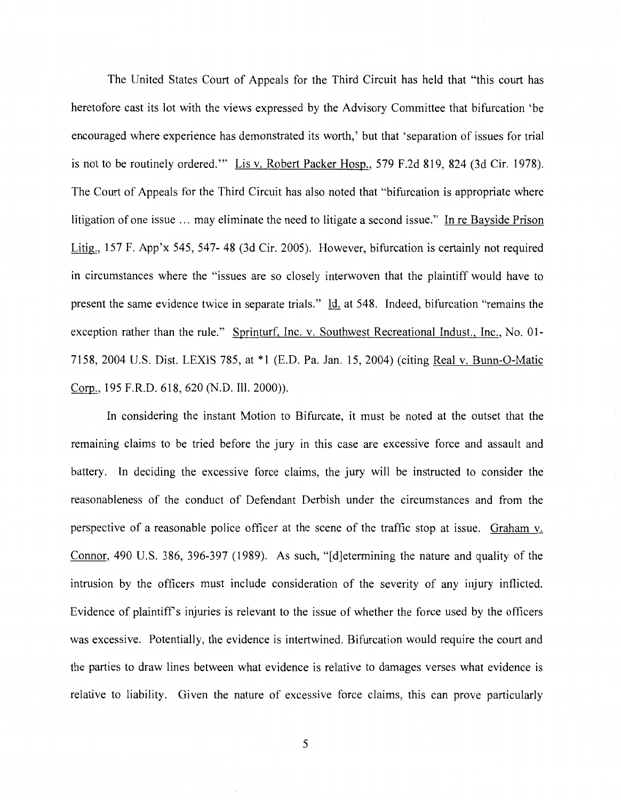The United States Court of Appeals for the Third Circuit has held that "this court has heretofore cast its lot with the views expressed by the Advisory Committee that bifurcation 'be encouraged where experience has demonstrated its worth,' but that 'separation of issues for trial is not to be routinely ordered."' Lis v. Robert Packer Hosp., 579 F .2d 819, 824 (3d Cir. 1978). The Court of Appeals for the Third Circuit has also noted that "bifurcation is appropriate where litigation of one issue ... may eliminate the need to litigate a second issue." In re Bayside Prison Litig., 157 F. App'x 545, 547- 48 (3d Cir. 2005). However, bifurcation is certainly not required in circumstances where the "issues are so closely interwoven that the plaintiff would have to present the same evidence twice in separate trials." Id. at 548. Indeed, bifurcation "remains the exception rather than the rule." Sprinturf, Inc. v. Southwest Recreational Indust., Inc., No. 01- 7158, 2004 U.S. Dist. LEXIS 785, at \*1 (E.D. Pa. Jan. 15, 2004) (citing Real v. Bunn-0-Matic Corp., 195 F.R.D. 618, 620 (N.D. Ill. 2000)).

In considering the instant Motion to Bifurcate, it must be noted at the outset that the remaining claims to be tried before the jury in this case are excessive force and assault and battery. In deciding the excessive force claims, the jury will be instructed to consider the reasonableness of the conduct of Defendant Derbish under the circumstances and from the perspective of a reasonable police officer at the scene of the traffic stop at issue. Graham v. Connor, 490 U.S. 386, 396-397 (1989). As such, "[d]etermining the nature and quality of the intrusion by the officers must include consideration of the severity of any injury inflicted. Evidence of plaintiff's injuries is relevant to the issue of whether the force used by the officers was excessive. Potentially, the evidence is intertwined. Bifurcation would require the court and the parties to draw lines between what evidence is relative to damages verses what evidence is relative to liability. Given the nature of excessive force claims, this can prove particularly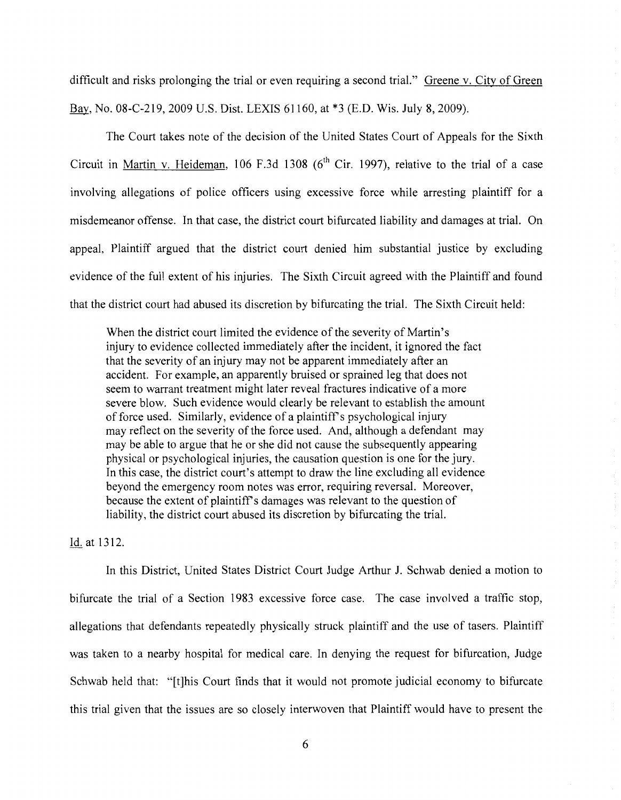difficult and risks prolonging the trial or even requiring a second trial." Greene v. City of Green Bay, No. 08-C-219, 2009 U.S. Dist. LEXIS 61160, at \*3 (E.D. Wis. July 8, 2009).

The Court takes note of the decision of the United States Court of Appeals for the Sixth Circuit in Martin v. Heideman, 106 F.3d 1308 ( $6<sup>th</sup>$  Cir. 1997), relative to the trial of a case involving allegations of police officers using excessive force while arresting plaintiff for a misdemeanor offense. In that case, the district court bifurcated liability and damages at trial. On appeal, Plaintiff argued that the district court denied him substantial justice by excluding evidence of the full extent of his injuries. The Sixth Circuit agreed with the Plaintiff and found that the district court had abused its discretion by bifurcating the trial. The Sixth Circuit held:

When the district court limited the evidence of the severity of Martin's injury to evidence collected immediately after the incident, it ignored the fact that the severity of an injury may not be apparent immediately after an accident. For example, an apparently bruised or sprained leg that does not seem to warrant treatment might later reveal fractures indicative of a more severe blow. Such evidence would clearly be relevant to establish the amount of force used. Similarly, evidence of a plaintiff's psychological injury may reflect on the severity of the force used. And, although a defendant may may be able to argue that he or she did not cause the subsequently appearing physical or psychological injuries, the causation question is one for the jury. In this case, the district court's attempt to draw the line excluding all evidence beyond the emergency room notes was error, requiring reversal. Moreover, because the extent of plaintiffs damages was relevant to the question of liability, the district court abused its discretion by bifurcating the trial.

### Id. at 1312.

In this District, United States District Court Judge Arthur J. Schwab denied a motion to bifurcate the trial of a Section 1983 excessive force case. The case involved a traffic stop, allegations that defendants repeatedly physically struck plaintiff and the use of tasers. Plaintiff was taken to a nearby hospital for medical care. In denying the request for bifurcation, Judge Schwab held that: "[t]his Court finds that it would not promote judicial economy to bifurcate this trial given that the issues are so closely interwoven that Plaintiff would have to present the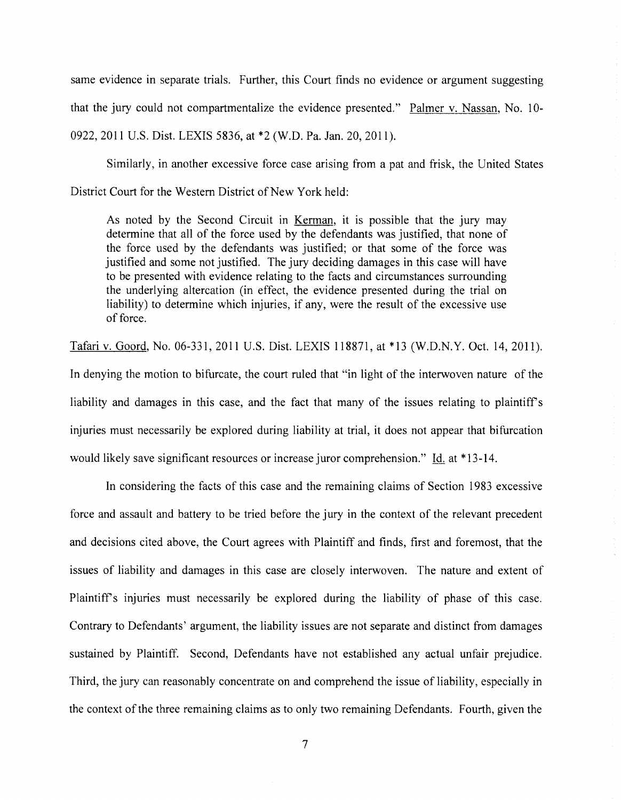same evidence in separate trials. Further, this Court finds no evidence or argument suggesting that the jury could not compartmentalize the evidence presented." Palmer v. Nassan, No. 10- 0922, 2011 U.S. Dist. LEXIS 5836, at \*2 (W.D. Pa. Jan. 20, 2011).

Similarly, in another excessive force case arising from a pat and frisk, the United States District Court for the Western District of New York held:

As noted by the Second Circuit in Kerman, it is possible that the jury may determine that all of the force used by the defendants was justified, that none of the force used by the defendants was justified; or that some of the force was justified and some not justified. The jury deciding damages in this case will have to be presented with evidence relating to the facts and circumstances surrounding the underlying altercation (in effect, the evidence presented during the trial on liability) to determine which injuries, if any, were the result of the excessive use of force.

Tafari v. Goord, No. 06-331, 2011 U.S. Dist. LEXIS 118871, at \*13 (W.D.N.Y. Oct. 14, 2011). In denying the motion to bifurcate, the court ruled that "in light of the interwoven nature of the liability and damages in this case, and the fact that many of the issues relating to plaintiff's injuries must necessarily be explored during liability at trial, it does not appear that bifurcation would likely save significant resources or increase juror comprehension." Id. at \*13-14.

In considering the facts of this case and the remaining claims of Section 1983 excessive force and assault and battery to be tried before the jury in the context of the relevant precedent and decisions cited above, the Court agrees with Plaintiff and finds, first and foremost, that the issues of liability and damages in this case are closely interwoven. The nature and extent of Plaintiffs injuries must necessarily be explored during the liability of phase of this case. Contrary to Defendants' argument, the liability issues are not separate and distinct from damages sustained by Plaintiff. Second, Defendants have not established any actual unfair prejudice. Third, the jury can reasonably concentrate on and comprehend the issue of liability, especially in the context of the three remaining claims as to only two remaining Defendants. Fourth, given the